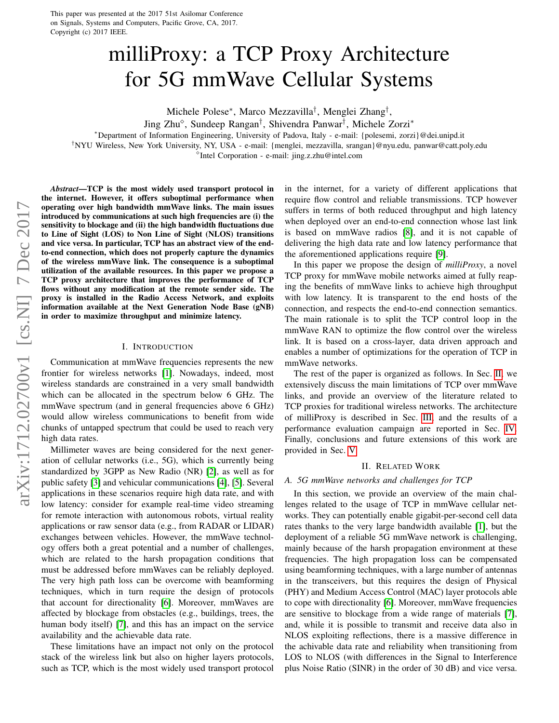# milliProxy: a TCP Proxy Architecture for 5G mmWave Cellular Systems

Michele Polese<sup>∗</sup> , Marco Mezzavilla† , Menglei Zhang† ,

Jing Zhu<sup>6</sup>, Sundeep Rangan<sup>†</sup>, Shivendra Panwar<sup>†</sup>, Michele Zorzi<sup>\*</sup>

<sup>∗</sup>Department of Information Engineering, University of Padova, Italy - e-mail: {polesemi, zorzi}@dei.unipd.it

†NYU Wireless, New York University, NY, USA - e-mail: {menglei, mezzavilla, srangan}@nyu.edu, panwar@catt.poly.edu

Intel Corporation - e-mail: jing.z.zhu@intel.com

*Abstract*—TCP is the most widely used transport protocol in the internet. However, it offers suboptimal performance when operating over high bandwidth mmWave links. The main issues introduced by communications at such high frequencies are (i) the sensitivity to blockage and (ii) the high bandwidth fluctuations due to Line of Sight (LOS) to Non Line of Sight (NLOS) transitions and vice versa. In particular, TCP has an abstract view of the endto-end connection, which does not properly capture the dynamics of the wireless mmWave link. The consequence is a suboptimal utilization of the available resources. In this paper we propose a TCP proxy architecture that improves the performance of TCP flows without any modification at the remote sender side. The proxy is installed in the Radio Access Network, and exploits information available at the Next Generation Node Base (gNB) in order to maximize throughput and minimize latency.

#### I. INTRODUCTION

Communication at mmWave frequencies represents the new frontier for wireless networks [\[1\]](#page-6-0). Nowadays, indeed, most wireless standards are constrained in a very small bandwidth which can be allocated in the spectrum below 6 GHz. The mmWave spectrum (and in general frequencies above 6 GHz) would allow wireless communications to benefit from wide chunks of untapped spectrum that could be used to reach very high data rates.

Millimeter waves are being considered for the next generation of cellular networks (i.e., 5G), which is currently being standardized by 3GPP as New Radio (NR) [\[2\]](#page-6-1), as well as for public safety [\[3\]](#page-6-2) and vehicular communications [\[4\]](#page-6-3), [\[5\]](#page-6-4). Several applications in these scenarios require high data rate, and with low latency: consider for example real-time video streaming for remote interaction with autonomous robots, virtual reality applications or raw sensor data (e.g., from RADAR or LIDAR) exchanges between vehicles. However, the mmWave technology offers both a great potential and a number of challenges, which are related to the harsh propagation conditions that must be addressed before mmWaves can be reliably deployed. The very high path loss can be overcome with beamforming techniques, which in turn require the design of protocols that account for directionality [\[6\]](#page-6-5). Moreover, mmWaves are affected by blockage from obstacles (e.g., buildings, trees, the human body itself) [\[7\]](#page-6-6), and this has an impact on the service availability and the achievable data rate.

These limitations have an impact not only on the protocol stack of the wireless link but also on higher layers protocols, such as TCP, which is the most widely used transport protocol in the internet, for a variety of different applications that require flow control and reliable transmissions. TCP however suffers in terms of both reduced throughput and high latency when deployed over an end-to-end connection whose last link is based on mmWave radios [\[8\]](#page-6-7), and it is not capable of delivering the high data rate and low latency performance that the aforementioned applications require [\[9\]](#page-6-8).

In this paper we propose the design of *milliProxy*, a novel TCP proxy for mmWave mobile networks aimed at fully reaping the benefits of mmWave links to achieve high throughput with low latency. It is transparent to the end hosts of the connection, and respects the end-to-end connection semantics. The main rationale is to split the TCP control loop in the mmWave RAN to optimize the flow control over the wireless link. It is based on a cross-layer, data driven approach and enables a number of optimizations for the operation of TCP in mmWave networks.

The rest of the paper is organized as follows. In Sec. [II,](#page-0-0) we extensively discuss the main limitations of TCP over mmWave links, and provide an overview of the literature related to TCP proxies for traditional wireless networks. The architecture of milliProxy is described in Sec. [III,](#page-2-0) and the results of a performance evaluation campaign are reported in Sec. [IV.](#page-4-0) Finally, conclusions and future extensions of this work are provided in Sec. [V.](#page-5-0)

## II. RELATED WORK

## <span id="page-0-0"></span>*A. 5G mmWave networks and challenges for TCP*

In this section, we provide an overview of the main challenges related to the usage of TCP in mmWave cellular networks. They can potentially enable gigabit-per-second cell data rates thanks to the very large bandwidth available [\[1\]](#page-6-0), but the deployment of a reliable 5G mmWave network is challenging, mainly because of the harsh propagation environment at these frequencies. The high propagation loss can be compensated using beamforming techniques, with a large number of antennas in the transceivers, but this requires the design of Physical (PHY) and Medium Access Control (MAC) layer protocols able to cope with directionality [\[6\]](#page-6-5). Moreover, mmWave frequencies are sensitive to blockage from a wide range of materials [\[7\]](#page-6-6), and, while it is possible to transmit and receive data also in NLOS exploiting reflections, there is a massive difference in the achivable data rate and reliability when transitioning from LOS to NLOS (with differences in the Signal to Interference plus Noise Ratio (SINR) in the order of 30 dB) and vice versa.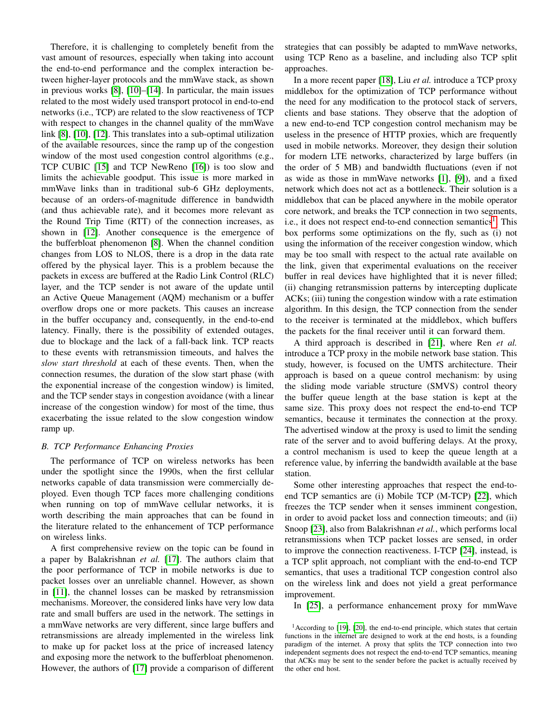Therefore, it is challenging to completely benefit from the vast amount of resources, especially when taking into account the end-to-end performance and the complex interaction between higher-layer protocols and the mmWave stack, as shown in previous works [\[8\]](#page-6-7), [\[10\]](#page-6-9)–[\[14\]](#page-6-10). In particular, the main issues related to the most widely used transport protocol in end-to-end networks (i.e., TCP) are related to the slow reactiveness of TCP with respect to changes in the channel quality of the mmWave link [\[8\]](#page-6-7), [\[10\]](#page-6-9), [\[12\]](#page-6-11). This translates into a sub-optimal utilization of the available resources, since the ramp up of the congestion window of the most used congestion control algorithms (e.g., TCP CUBIC [\[15\]](#page-6-12) and TCP NewReno [\[16\]](#page-6-13)) is too slow and limits the achievable goodput. This issue is more marked in mmWave links than in traditional sub-6 GHz deployments, because of an orders-of-magnitude difference in bandwidth (and thus achievable rate), and it becomes more relevant as the Round Trip Time (RTT) of the connection increases, as shown in [\[12\]](#page-6-11). Another consequence is the emergence of the bufferbloat phenomenon [\[8\]](#page-6-7). When the channel condition changes from LOS to NLOS, there is a drop in the data rate offered by the physical layer. This is a problem because the packets in excess are buffered at the Radio Link Control (RLC) layer, and the TCP sender is not aware of the update until an Active Queue Management (AQM) mechanism or a buffer overflow drops one or more packets. This causes an increase in the buffer occupancy and, consequently, in the end-to-end latency. Finally, there is the possibility of extended outages, due to blockage and the lack of a fall-back link. TCP reacts to these events with retransmission timeouts, and halves the *slow start threshold* at each of these events. Then, when the connection resumes, the duration of the slow start phase (with the exponential increase of the congestion window) is limited, and the TCP sender stays in congestion avoidance (with a linear increase of the congestion window) for most of the time, thus exacerbating the issue related to the slow congestion window ramp up.

### *B. TCP Performance Enhancing Proxies*

The performance of TCP on wireless networks has been under the spotlight since the 1990s, when the first cellular networks capable of data transmission were commercially deployed. Even though TCP faces more challenging conditions when running on top of mmWave cellular networks, it is worth describing the main approaches that can be found in the literature related to the enhancement of TCP performance on wireless links.

A first comprehensive review on the topic can be found in a paper by Balakrishnan *et al.* [\[17\]](#page-6-14). The authors claim that the poor performance of TCP in mobile networks is due to packet losses over an unreliable channel. However, as shown in [\[11\]](#page-6-15), the channel losses can be masked by retransmission mechanisms. Moreover, the considered links have very low data rate and small buffers are used in the network. The settings in a mmWave networks are very different, since large buffers and retransmissions are already implemented in the wireless link to make up for packet loss at the price of increased latency and exposing more the network to the bufferbloat phenomenon. However, the authors of [\[17\]](#page-6-14) provide a comparison of different

strategies that can possibly be adapted to mmWave networks, using TCP Reno as a baseline, and including also TCP split approaches.

In a more recent paper [\[18\]](#page-6-16), Liu *et al.* introduce a TCP proxy middlebox for the optimization of TCP performance without the need for any modification to the protocol stack of servers, clients and base stations. They observe that the adoption of a new end-to-end TCP congestion control mechanism may be useless in the presence of HTTP proxies, which are frequently used in mobile networks. Moreover, they design their solution for modern LTE networks, characterized by large buffers (in the order of 5 MB) and bandwidth fluctuations (even if not as wide as those in mmWave networks [\[1\]](#page-6-0), [\[9\]](#page-6-8)), and a fixed network which does not act as a bottleneck. Their solution is a middlebox that can be placed anywhere in the mobile operator core network, and breaks the TCP connection in two segments, i.e., it does not respect end-to-end connection semantics<sup>[1](#page-1-0)</sup>. This box performs some optimizations on the fly, such as (i) not using the information of the receiver congestion window, which may be too small with respect to the actual rate available on the link, given that experimental evaluations on the receiver buffer in real devices have highlighted that it is never filled; (ii) changing retransmission patterns by intercepting duplicate ACKs; (iii) tuning the congestion window with a rate estimation algorithm. In this design, the TCP connection from the sender to the receiver is terminated at the middlebox, which buffers the packets for the final receiver until it can forward them.

A third approach is described in [\[21\]](#page-6-17), where Ren *et al.* introduce a TCP proxy in the mobile network base station. This study, however, is focused on the UMTS architecture. Their approach is based on a queue control mechanism: by using the sliding mode variable structure (SMVS) control theory the buffer queue length at the base station is kept at the same size. This proxy does not respect the end-to-end TCP semantics, because it terminates the connection at the proxy. The advertised window at the proxy is used to limit the sending rate of the server and to avoid buffering delays. At the proxy, a control mechanism is used to keep the queue length at a reference value, by inferring the bandwidth available at the base station.

Some other interesting approaches that respect the end-toend TCP semantics are (i) Mobile TCP (M-TCP) [\[22\]](#page-6-18), which freezes the TCP sender when it senses imminent congestion, in order to avoid packet loss and connection timeouts; and (ii) Snoop [\[23\]](#page-6-19), also from Balakrishnan *et al.*, which performs local retransmissions when TCP packet losses are sensed, in order to improve the connection reactiveness. I-TCP [\[24\]](#page-6-20), instead, is a TCP split approach, not compliant with the end-to-end TCP semantics, that uses a traditional TCP congestion control also on the wireless link and does not yield a great performance improvement.

In [\[25\]](#page-6-21), a performance enhancement proxy for mmWave

<span id="page-1-0"></span><sup>&</sup>lt;sup>1</sup> According to [\[19\]](#page-6-22), [\[20\]](#page-6-23), the end-to-end principle, which states that certain functions in the internet are designed to work at the end hosts, is a founding paradigm of the internet. A proxy that splits the TCP connection into two independent segments does not respect the end-to-end TCP semantics, meaning that ACKs may be sent to the sender before the packet is actually received by the other end host.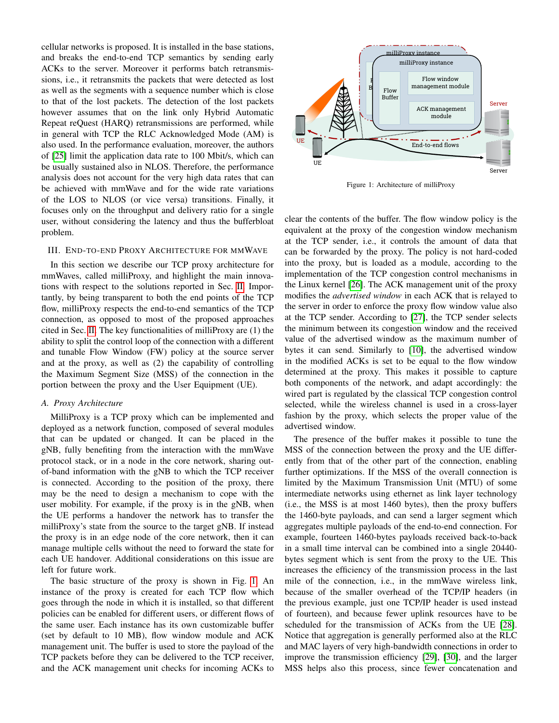cellular networks is proposed. It is installed in the base stations, and breaks the end-to-end TCP semantics by sending early ACKs to the server. Moreover it performs batch retransmissions, i.e., it retransmits the packets that were detected as lost as well as the segments with a sequence number which is close to that of the lost packets. The detection of the lost packets however assumes that on the link only Hybrid Automatic Repeat reQuest (HARQ) retransmissions are performed, while in general with TCP the RLC Acknowledged Mode (AM) is also used. In the performance evaluation, moreover, the authors of [\[25\]](#page-6-21) limit the application data rate to 100 Mbit/s, which can be usually sustained also in NLOS. Therefore, the performance analysis does not account for the very high data rates that can be achieved with mmWave and for the wide rate variations of the LOS to NLOS (or vice versa) transitions. Finally, it focuses only on the throughput and delivery ratio for a single user, without considering the latency and thus the bufferbloat problem.

### <span id="page-2-0"></span>III. END-TO-END PROXY ARCHITECTURE FOR MMWAVE

In this section we describe our TCP proxy architecture for mmWaves, called milliProxy, and highlight the main innovations with respect to the solutions reported in Sec. [II.](#page-0-0) Importantly, by being transparent to both the end points of the TCP flow, milliProxy respects the end-to-end semantics of the TCP connection, as opposed to most of the proposed approaches cited in Sec. [II.](#page-0-0) The key functionalities of milliProxy are (1) the ability to split the control loop of the connection with a different and tunable Flow Window (FW) policy at the source server and at the proxy, as well as (2) the capability of controlling the Maximum Segment Size (MSS) of the connection in the portion between the proxy and the User Equipment (UE).

#### *A. Proxy Architecture*

MilliProxy is a TCP proxy which can be implemented and deployed as a network function, composed of several modules that can be updated or changed. It can be placed in the gNB, fully benefiting from the interaction with the mmWave protocol stack, or in a node in the core network, sharing outof-band information with the gNB to which the TCP receiver is connected. According to the position of the proxy, there may be the need to design a mechanism to cope with the user mobility. For example, if the proxy is in the gNB, when the UE performs a handover the network has to transfer the milliProxy's state from the source to the target gNB. If instead the proxy is in an edge node of the core network, then it can manage multiple cells without the need to forward the state for each UE handover. Additional considerations on this issue are left for future work.

The basic structure of the proxy is shown in Fig. [1.](#page-2-1) An instance of the proxy is created for each TCP flow which goes through the node in which it is installed, so that different policies can be enabled for different users, or different flows of the same user. Each instance has its own customizable buffer (set by default to 10 MB), flow window module and ACK management unit. The buffer is used to store the payload of the TCP packets before they can be delivered to the TCP receiver, and the ACK management unit checks for incoming ACKs to

<span id="page-2-1"></span>

Figure 1: Architecture of milliProxy

clear the contents of the buffer. The flow window policy is the equivalent at the proxy of the congestion window mechanism at the TCP sender, i.e., it controls the amount of data that can be forwarded by the proxy. The policy is not hard-coded into the proxy, but is loaded as a module, according to the implementation of the TCP congestion control mechanisms in the Linux kernel [\[26\]](#page-6-24). The ACK management unit of the proxy modifies the *advertised window* in each ACK that is relayed to the server in order to enforce the proxy flow window value also at the TCP sender. According to [\[27\]](#page-6-25), the TCP sender selects the minimum between its congestion window and the received value of the advertised window as the maximum number of bytes it can send. Similarly to [\[10\]](#page-6-9), the advertised window in the modified ACKs is set to be equal to the flow window determined at the proxy. This makes it possible to capture both components of the network, and adapt accordingly: the wired part is regulated by the classical TCP congestion control selected, while the wireless channel is used in a cross-layer fashion by the proxy, which selects the proper value of the advertised window.

The presence of the buffer makes it possible to tune the MSS of the connection between the proxy and the UE differently from that of the other part of the connection, enabling further optimizations. If the MSS of the overall connection is limited by the Maximum Transmission Unit (MTU) of some intermediate networks using ethernet as link layer technology (i.e., the MSS is at most 1460 bytes), then the proxy buffers the 1460-byte payloads, and can send a larger segment which aggregates multiple payloads of the end-to-end connection. For example, fourteen 1460-bytes payloads received back-to-back in a small time interval can be combined into a single 20440 bytes segment which is sent from the proxy to the UE. This increases the efficiency of the transmission process in the last mile of the connection, i.e., in the mmWave wireless link, because of the smaller overhead of the TCP/IP headers (in the previous example, just one TCP/IP header is used instead of fourteen), and because fewer uplink resources have to be scheduled for the transmission of ACKs from the UE [\[28\]](#page-6-26). Notice that aggregation is generally performed also at the RLC and MAC layers of very high-bandwidth connections in order to improve the transmission efficiency [\[29\]](#page-6-27), [\[30\]](#page-6-28), and the larger MSS helps also this process, since fewer concatenation and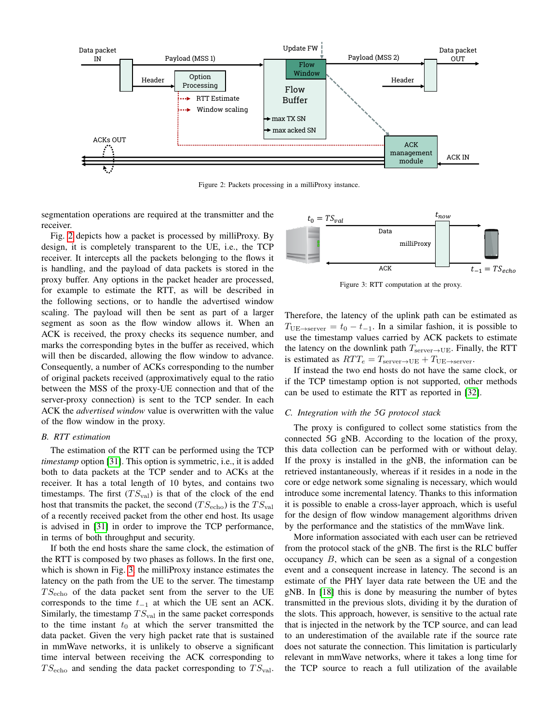<span id="page-3-0"></span>

Figure 2: Packets processing in a milliProxy instance.

segmentation operations are required at the transmitter and the receiver.

Fig. [2](#page-3-0) depicts how a packet is processed by milliProxy. By design, it is completely transparent to the UE, i.e., the TCP receiver. It intercepts all the packets belonging to the flows it is handling, and the payload of data packets is stored in the proxy buffer. Any options in the packet header are processed, for example to estimate the RTT, as will be described in the following sections, or to handle the advertised window scaling. The payload will then be sent as part of a larger segment as soon as the flow window allows it. When an ACK is received, the proxy checks its sequence number, and marks the corresponding bytes in the buffer as received, which will then be discarded, allowing the flow window to advance. Consequently, a number of ACKs corresponding to the number of original packets received (approximatively equal to the ratio between the MSS of the proxy-UE connection and that of the server-proxy connection) is sent to the TCP sender. In each ACK the *advertised window* value is overwritten with the value of the flow window in the proxy.

## *B. RTT estimation*

The estimation of the RTT can be performed using the TCP *timestamp* option [\[31\]](#page-6-29). This option is symmetric, i.e., it is added both to data packets at the TCP sender and to ACKs at the receiver. It has a total length of 10 bytes, and contains two timestamps. The first  $(T S_{\text{val}})$  is that of the clock of the end host that transmits the packet, the second ( $TS_{\text{echo}}$ ) is the  $TS_{\text{val}}$ of a recently received packet from the other end host. Its usage is advised in [\[31\]](#page-6-29) in order to improve the TCP performance, in terms of both throughput and security.

If both the end hosts share the same clock, the estimation of the RTT is composed by two phases as follows. In the first one, which is shown in Fig. [3,](#page-3-1) the milliProxy instance estimates the latency on the path from the UE to the server. The timestamp  $TS<sub>echo</sub>$  of the data packet sent from the server to the UE corresponds to the time  $t_{-1}$  at which the UE sent an ACK. Similarly, the timestamp  $TS_{val}$  in the same packet corresponds to the time instant  $t_0$  at which the server transmitted the data packet. Given the very high packet rate that is sustained in mmWave networks, it is unlikely to observe a significant time interval between receiving the ACK corresponding to  $TS_{\text{echo}}$  and sending the data packet corresponding to  $TS_{\text{val}}$ .

<span id="page-3-1"></span>

Figure 3: RTT computation at the proxy.

Therefore, the latency of the uplink path can be estimated as  $T_{\text{UE}\rightarrow\text{server}} = t_0 - t_{-1}$ . In a similar fashion, it is possible to use the timestamp values carried by ACK packets to estimate the latency on the downlink path  $T_{\text{server}\to\text{UE}}$ . Finally, the RTT is estimated as  $RTT_e = T_{server \rightarrow UE} + T_{UE \rightarrow server}$ .

If instead the two end hosts do not have the same clock, or if the TCP timestamp option is not supported, other methods can be used to estimate the RTT as reported in [\[32\]](#page-6-30).

#### *C. Integration with the 5G protocol stack*

The proxy is configured to collect some statistics from the connected 5G gNB. According to the location of the proxy, this data collection can be performed with or without delay. If the proxy is installed in the gNB, the information can be retrieved instantaneously, whereas if it resides in a node in the core or edge network some signaling is necessary, which would introduce some incremental latency. Thanks to this information it is possible to enable a cross-layer approach, which is useful for the design of flow window management algorithms driven by the performance and the statistics of the mmWave link.

More information associated with each user can be retrieved from the protocol stack of the gNB. The first is the RLC buffer occupancy B, which can be seen as a signal of a congestion event and a consequent increase in latency. The second is an estimate of the PHY layer data rate between the UE and the gNB. In [\[18\]](#page-6-16) this is done by measuring the number of bytes transmitted in the previous slots, dividing it by the duration of the slots. This approach, however, is sensitive to the actual rate that is injected in the network by the TCP source, and can lead to an underestimation of the available rate if the source rate does not saturate the connection. This limitation is particularly relevant in mmWave networks, where it takes a long time for the TCP source to reach a full utilization of the available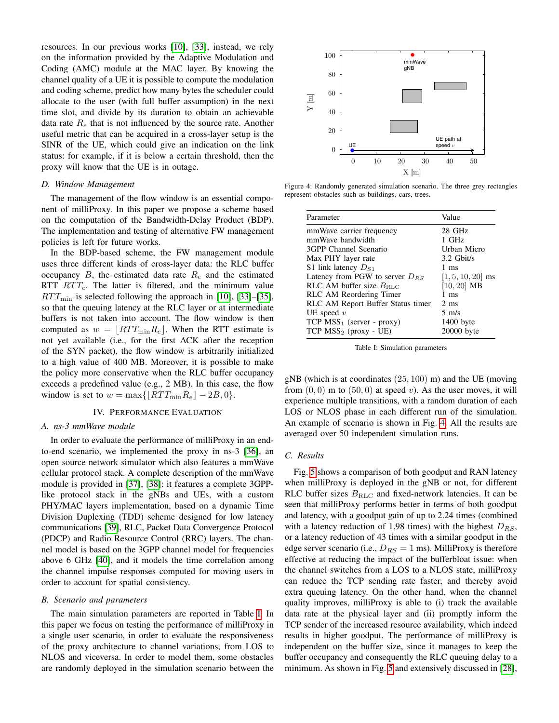resources. In our previous works [\[10\]](#page-6-9), [\[33\]](#page-6-31), instead, we rely on the information provided by the Adaptive Modulation and Coding (AMC) module at the MAC layer. By knowing the channel quality of a UE it is possible to compute the modulation and coding scheme, predict how many bytes the scheduler could allocate to the user (with full buffer assumption) in the next time slot, and divide by its duration to obtain an achievable data rate  $R_e$  that is not influenced by the source rate. Another useful metric that can be acquired in a cross-layer setup is the SINR of the UE, which could give an indication on the link status: for example, if it is below a certain threshold, then the proxy will know that the UE is in outage.

#### *D. Window Management*

The management of the flow window is an essential component of milliProxy. In this paper we propose a scheme based on the computation of the Bandwidth-Delay Product (BDP). The implementation and testing of alternative FW management policies is left for future works.

In the BDP-based scheme, the FW management module uses three different kinds of cross-layer data: the RLC buffer occupancy  $B$ , the estimated data rate  $R_e$  and the estimated RTT  $RTT_e$ . The latter is filtered, and the minimum value  $RTT_{\text{min}}$  is selected following the approach in [\[10\]](#page-6-9), [\[33\]](#page-6-31)–[\[35\]](#page-6-32), so that the queuing latency at the RLC layer or at intermediate buffers is not taken into account. The flow window is then computed as  $w = |RTT_{min}R_e|$ . When the RTT estimate is not yet available (i.e., for the first ACK after the reception of the SYN packet), the flow window is arbitrarily initialized to a high value of 400 MB. Moreover, it is possible to make the policy more conservative when the RLC buffer occupancy exceeds a predefined value (e.g., 2 MB). In this case, the flow window is set to  $w = \max\{[RTT_{\min}R_e] - 2B, 0\}.$ 

#### IV. PERFORMANCE EVALUATION

#### <span id="page-4-0"></span>*A. ns-3 mmWave module*

In order to evaluate the performance of milliProxy in an endto-end scenario, we implemented the proxy in ns-3 [\[36\]](#page-6-33), an open source network simulator which also features a mmWave cellular protocol stack. A complete description of the mmWave module is provided in [\[37\]](#page-6-34), [\[38\]](#page-6-35): it features a complete 3GPPlike protocol stack in the gNBs and UEs, with a custom PHY/MAC layers implementation, based on a dynamic Time Division Duplexing (TDD) scheme designed for low latency communications [\[39\]](#page-6-36), RLC, Packet Data Convergence Protocol (PDCP) and Radio Resource Control (RRC) layers. The channel model is based on the 3GPP channel model for frequencies above 6 GHz [\[40\]](#page-6-37), and it models the time correlation among the channel impulse responses computed for moving users in order to account for spatial consistency.

#### *B. Scenario and parameters*

The main simulation parameters are reported in Table [I.](#page-4-1) In this paper we focus on testing the performance of milliProxy in a single user scenario, in order to evaluate the responsiveness of the proxy architecture to channel variations, from LOS to NLOS and viceversa. In order to model them, some obstacles are randomly deployed in the simulation scenario between the

<span id="page-4-2"></span>

Figure 4: Randomly generated simulation scenario. The three grey rectangles represent obstacles such as buildings, cars, trees.

<span id="page-4-1"></span>

| Parameter                           | Value               |
|-------------------------------------|---------------------|
| mmWave carrier frequency            | $28$ GHz            |
| mmWaye bandwidth                    | 1 GHz               |
| 3GPP Channel Scenario               | Urban Micro         |
| Max PHY layer rate                  | $3.2$ Gbit/s        |
| S1 link latency $D_{S1}$            | 1 ms                |
| Latency from PGW to server $D_{RS}$ | $[1, 5, 10, 20]$ ms |
| RLC AM buffer size $B_{\text{RLC}}$ | $[10, 20]$ MB       |
| RLC AM Reordering Timer             | 1 ms                |
| RLC AM Report Buffer Status timer   | $2 \text{ ms}$      |
| UE speed $v$                        | $5 \text{ m/s}$     |
| TCP $MSS_1$ (server - proxy)        | $1400$ byte         |
| TCP MSS <sub>2</sub> (proxy - UE)   | 20000 byte          |

Table I: Simulation parameters

gNB (which is at coordinates (25, 100) m) and the UE (moving from  $(0, 0)$  m to  $(50, 0)$  at speed v). As the user moves, it will experience multiple transitions, with a random duration of each LOS or NLOS phase in each different run of the simulation. An example of scenario is shown in Fig. [4.](#page-4-2) All the results are averaged over 50 independent simulation runs.

#### *C. Results*

Fig. [5](#page-5-1) shows a comparison of both goodput and RAN latency when milliProxy is deployed in the gNB or not, for different RLC buffer sizes  $B<sub>RLC</sub>$  and fixed-network latencies. It can be seen that milliProxy performs better in terms of both goodput and latency, with a goodput gain of up to 2.24 times (combined with a latency reduction of 1.98 times) with the highest  $D_{RS}$ , or a latency reduction of 43 times with a similar goodput in the edge server scenario (i.e.,  $D_{RS} = 1$  ms). MilliProxy is therefore effective at reducing the impact of the bufferbloat issue: when the channel switches from a LOS to a NLOS state, milliProxy can reduce the TCP sending rate faster, and thereby avoid extra queuing latency. On the other hand, when the channel quality improves, milliProxy is able to (i) track the available data rate at the physical layer and (ii) promptly inform the TCP sender of the increased resource availability, which indeed results in higher goodput. The performance of milliProxy is independent on the buffer size, since it manages to keep the buffer occupancy and consequently the RLC queuing delay to a minimum. As shown in Fig. [5](#page-5-1) and extensively discussed in [\[28\]](#page-6-26),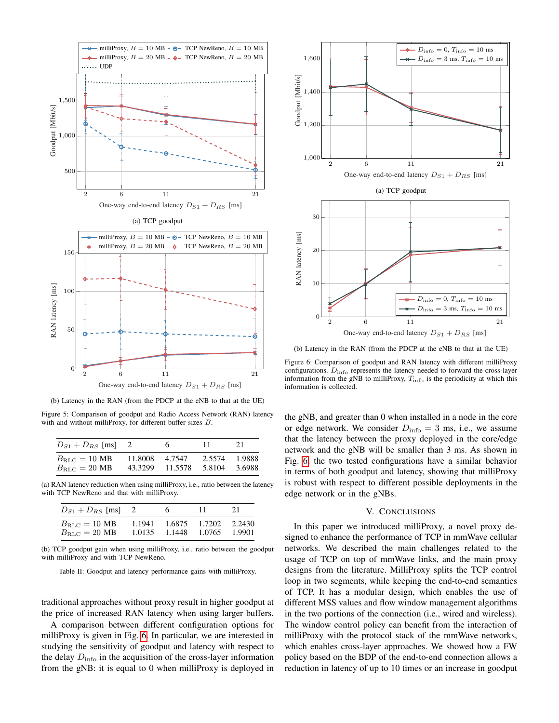<span id="page-5-1"></span>

(b) Latency in the RAN (from the PDCP at the eNB to that at the UE)

Figure 5: Comparison of goodput and Radio Access Network (RAN) latency with and without milliProxy, for different buffer sizes B.

| $D_{S1} + D_{RS}$ [ms]           |         | 6.              | -11-   | 21       |
|----------------------------------|---------|-----------------|--------|----------|
| $B_{\text{BLC}} = 10 \text{ MB}$ | 11.8008 | 4.7547          | 2.5574 | - 1.9888 |
| $B_{\text{BLC}} = 20 \text{ MB}$ |         | 43.3299 11.5578 | 5.8104 | 3.6988   |

(a) RAN latency reduction when using milliProxy, i.e., ratio between the latency with TCP NewReno and that with milliProxy.

| $D_{S1} + D_{RS}$ [ms] 2                                             |        | 6                           | 11.           | 21     |
|----------------------------------------------------------------------|--------|-----------------------------|---------------|--------|
| $B_{\text{RLC}} = 10 \text{ MB}$<br>$B_{\text{RLC}} = 20 \text{ MB}$ | 1.0135 | 1.1941 1.6875 1.7202 2.2430 | 1.1448 1.0765 | 1.9901 |

(b) TCP goodput gain when using milliProxy, i.e., ratio between the goodput with milliProxy and with TCP NewReno.

Table II: Goodput and latency performance gains with milliProxy.

traditional approaches without proxy result in higher goodput at the price of increased RAN latency when using larger buffers.

A comparison between different configuration options for milliProxy is given in Fig. [6.](#page-5-2) In particular, we are interested in studying the sensitivity of goodput and latency with respect to the delay  $D<sub>info</sub>$  in the acquisition of the cross-layer information from the gNB: it is equal to 0 when milliProxy is deployed in

<span id="page-5-2"></span>

(b) Latency in the RAN (from the PDCP at the eNB to that at the UE)

Figure 6: Comparison of goodput and RAN latency with different milliProxy configurations. Dinfo represents the latency needed to forward the cross-layer information from the gNB to milliProxy,  $T_{\rm info}$  is the periodicity at which this information is collected.

the gNB, and greater than 0 when installed in a node in the core or edge network. We consider  $D_{\text{info}} = 3$  ms, i.e., we assume that the latency between the proxy deployed in the core/edge network and the gNB will be smaller than 3 ms. As shown in Fig. [6,](#page-5-2) the two tested configurations have a similar behavior in terms of both goodput and latency, showing that milliProxy is robust with respect to different possible deployments in the edge network or in the gNBs.

## V. CONCLUSIONS

<span id="page-5-0"></span>In this paper we introduced milliProxy, a novel proxy designed to enhance the performance of TCP in mmWave cellular networks. We described the main challenges related to the usage of TCP on top of mmWave links, and the main proxy designs from the literature. MilliProxy splits the TCP control loop in two segments, while keeping the end-to-end semantics of TCP. It has a modular design, which enables the use of different MSS values and flow window management algorithms in the two portions of the connection (i.e., wired and wireless). The window control policy can benefit from the interaction of milliProxy with the protocol stack of the mmWave networks, which enables cross-layer approaches. We showed how a FW policy based on the BDP of the end-to-end connection allows a reduction in latency of up to 10 times or an increase in goodput